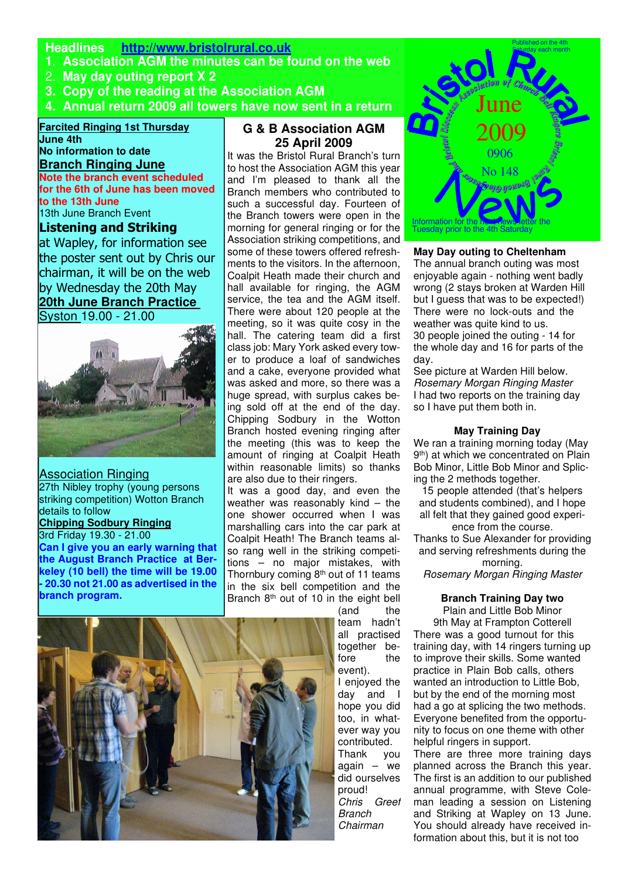# **Headlines http://www.bristolrural.co.uk**

- **1**. **Association AGM the minutes can be found on the web**
- 2. **May day outing report X 2**
- **3. Copy of the reading at the Association AGM**
- **4. Annual return 2009 all towers have now sent in a return**

#### **Farcited Ringing 1st Thursday June 4th**

**No information to date**

# **Branch Ringing June**

**Note the branch event scheduled for the 6th of June has been moved to the 13th June**

13th June Branch Event

# Listening and Striking

at Wapley, for information see the poster sent out by Chris our chairman, it will be on the web by Wednesday the 20th May **20th June Branch Practice**  Syston 19.00 - 21.00



Association Ringing 27th Nibley trophy (young persons striking competition) Wotton Branch details to follow **Chipping Sodbury Ringing** 3rd Friday 19.30 - 21.00 **Can I give you an early warning that the August Branch Practice at Berkeley (10 bell) the time will be 19.00 - 20.30 not 21.00 as advertised in the branch program.** 

# **G & B Association AGM 25 April 2009**

It was the Bristol Rural Branch's turn to host the Association AGM this year and I'm pleased to thank all the Branch members who contributed to such a successful day. Fourteen of the Branch towers were open in the morning for general ringing or for the Association striking competitions, and some of these towers offered refreshments to the visitors. In the afternoon, Coalpit Heath made their church and hall available for ringing, the AGM service, the tea and the AGM itself. There were about 120 people at the meeting, so it was quite cosy in the hall. The catering team did a first class job: Mary York asked every tower to produce a loaf of sandwiches and a cake, everyone provided what was asked and more, so there was a huge spread, with surplus cakes being sold off at the end of the day. Chipping Sodbury in the Wotton Branch hosted evening ringing after the meeting (this was to keep the amount of ringing at Coalpit Heath within reasonable limits) so thanks are also due to their ringers.

It was a good day, and even the weather was reasonably kind – the one shower occurred when I was marshalling cars into the car park at Coalpit Heath! The Branch teams also rang well in the striking competitions – no major mistakes, with Thornbury coming  $8<sup>th</sup>$  out of 11 teams in the six bell competition and the Branch  $8<sup>th</sup>$  out of 10 in the eight bell





#### **May Day outing to Cheltenham**

The annual branch outing was most enjoyable again - nothing went badly wrong (2 stays broken at Warden Hill but I guess that was to be expected!) There were no lock-outs and the weather was quite kind to us. 30 people joined the outing - 14 for the whole day and 16 for parts of the day.

See picture at Warden Hill below. Rosemary Morgan Ringing Master I had two reports on the training day so I have put them both in.

#### **May Training Day**

We ran a training morning today (May 9<sup>th</sup>) at which we concentrated on Plain Bob Minor, Little Bob Minor and Splicing the 2 methods together.

15 people attended (that's helpers and students combined), and I hope all felt that they gained good experience from the course.

Thanks to Sue Alexander for providing and serving refreshments during the morning.

Rosemary Morgan Ringing Master

### **Branch Training Day two**

Plain and Little Bob Minor 9th May at Frampton Cotterell There was a good turnout for this training day, with 14 ringers turning up to improve their skills. Some wanted practice in Plain Bob calls, others wanted an introduction to Little Bob, but by the end of the morning most had a go at splicing the two methods. Everyone benefited from the opportunity to focus on one theme with other helpful ringers in support.

There are three more training days planned across the Branch this year. The first is an addition to our published annual programme, with Steve Coleman leading a session on Listening and Striking at Wapley on 13 June. You should already have received information about this, but it is not too